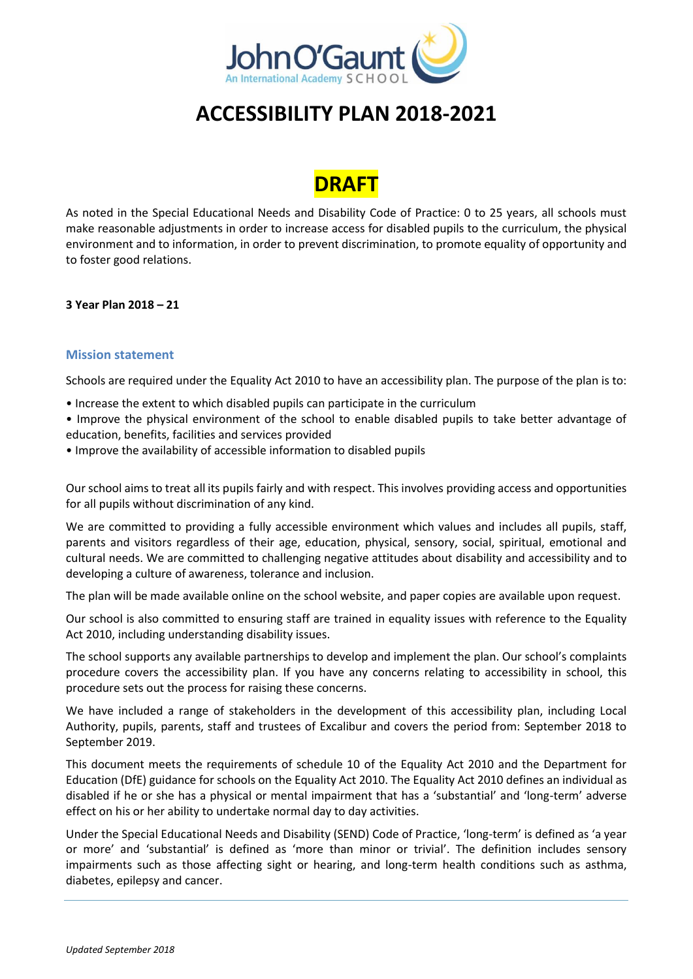

# **ACCESSIBILITY PLAN 2018-2021**

# **DRAFT**

As noted in the Special Educational Needs and Disability Code of Practice: 0 to 25 years, all schools must make reasonable adjustments in order to increase access for disabled pupils to the curriculum, the physical environment and to information, in order to prevent discrimination, to promote equality of opportunity and to foster good relations.

## **3 Year Plan 2018 – 21**

#### **Mission statement**

Schools are required under the Equality Act 2010 to have an accessibility plan. The purpose of the plan is to:

• Increase the extent to which disabled pupils can participate in the curriculum

• Improve the physical environment of the school to enable disabled pupils to take better advantage of education, benefits, facilities and services provided

• Improve the availability of accessible information to disabled pupils

Our school aims to treat all its pupils fairly and with respect. This involves providing access and opportunities for all pupils without discrimination of any kind.

We are committed to providing a fully accessible environment which values and includes all pupils, staff, parents and visitors regardless of their age, education, physical, sensory, social, spiritual, emotional and cultural needs. We are committed to challenging negative attitudes about disability and accessibility and to developing a culture of awareness, tolerance and inclusion.

The plan will be made available online on the school website, and paper copies are available upon request.

Our school is also committed to ensuring staff are trained in equality issues with reference to the Equality Act 2010, including understanding disability issues.

The school supports any available partnerships to develop and implement the plan. Our school's complaints procedure covers the accessibility plan. If you have any concerns relating to accessibility in school, this procedure sets out the process for raising these concerns.

We have included a range of stakeholders in the development of this accessibility plan, including Local Authority, pupils, parents, staff and trustees of Excalibur and covers the period from: September 2018 to September 2019.

This document meets the requirements of schedule 10 of the Equality Act 2010 and the Department for Education (DfE) guidance for schools on the Equality Act 2010. The Equality Act 2010 defines an individual as disabled if he or she has a physical or mental impairment that has a 'substantial' and 'long-term' adverse effect on his or her ability to undertake normal day to day activities.

Under the Special Educational Needs and Disability (SEND) Code of Practice, 'long-term' is defined as 'a year or more' and 'substantial' is defined as 'more than minor or trivial'. The definition includes sensory impairments such as those affecting sight or hearing, and long-term health conditions such as asthma, diabetes, epilepsy and cancer.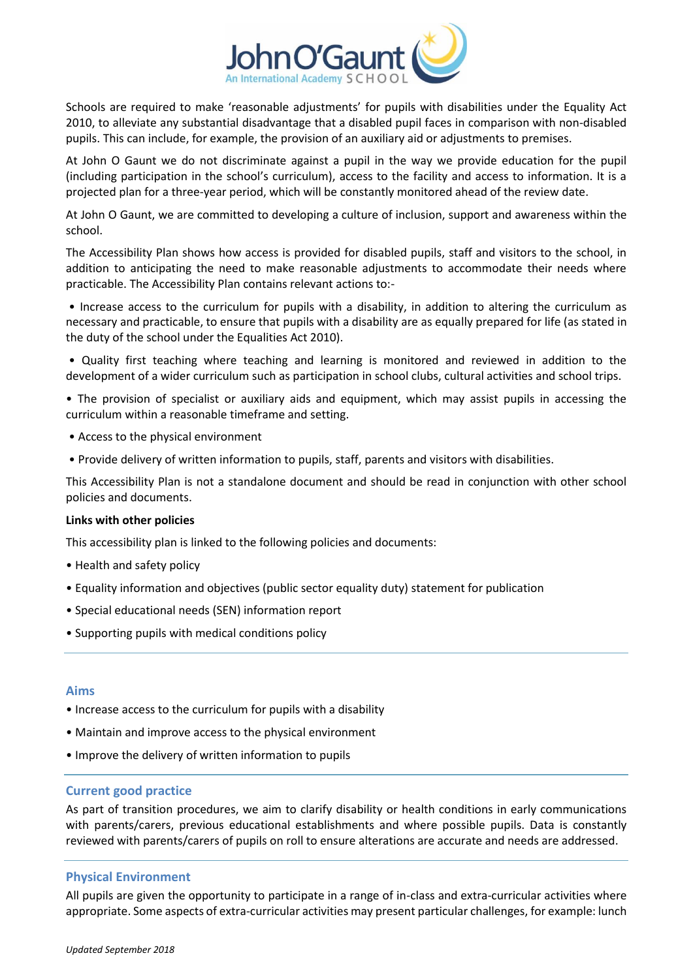

Schools are required to make 'reasonable adjustments' for pupils with disabilities under the Equality Act 2010, to alleviate any substantial disadvantage that a disabled pupil faces in comparison with non-disabled pupils. This can include, for example, the provision of an auxiliary aid or adjustments to premises.

At John O Gaunt we do not discriminate against a pupil in the way we provide education for the pupil (including participation in the school's curriculum), access to the facility and access to information. It is a projected plan for a three-year period, which will be constantly monitored ahead of the review date.

At John O Gaunt, we are committed to developing a culture of inclusion, support and awareness within the school.

The Accessibility Plan shows how access is provided for disabled pupils, staff and visitors to the school, in addition to anticipating the need to make reasonable adjustments to accommodate their needs where practicable. The Accessibility Plan contains relevant actions to:-

• Increase access to the curriculum for pupils with a disability, in addition to altering the curriculum as necessary and practicable, to ensure that pupils with a disability are as equally prepared for life (as stated in the duty of the school under the Equalities Act 2010).

• Quality first teaching where teaching and learning is monitored and reviewed in addition to the development of a wider curriculum such as participation in school clubs, cultural activities and school trips.

• The provision of specialist or auxiliary aids and equipment, which may assist pupils in accessing the curriculum within a reasonable timeframe and setting.

- Access to the physical environment
- Provide delivery of written information to pupils, staff, parents and visitors with disabilities.

This Accessibility Plan is not a standalone document and should be read in conjunction with other school policies and documents.

#### **Links with other policies**

This accessibility plan is linked to the following policies and documents:

- Health and safety policy
- Equality information and objectives (public sector equality duty) statement for publication
- Special educational needs (SEN) information report
- Supporting pupils with medical conditions policy

#### **Aims**

- Increase access to the curriculum for pupils with a disability
- Maintain and improve access to the physical environment
- Improve the delivery of written information to pupils

#### **Current good practice**

As part of transition procedures, we aim to clarify disability or health conditions in early communications with parents/carers, previous educational establishments and where possible pupils. Data is constantly reviewed with parents/carers of pupils on roll to ensure alterations are accurate and needs are addressed.

#### **Physical Environment**

All pupils are given the opportunity to participate in a range of in-class and extra-curricular activities where appropriate. Some aspects of extra-curricular activities may present particular challenges, for example: lunch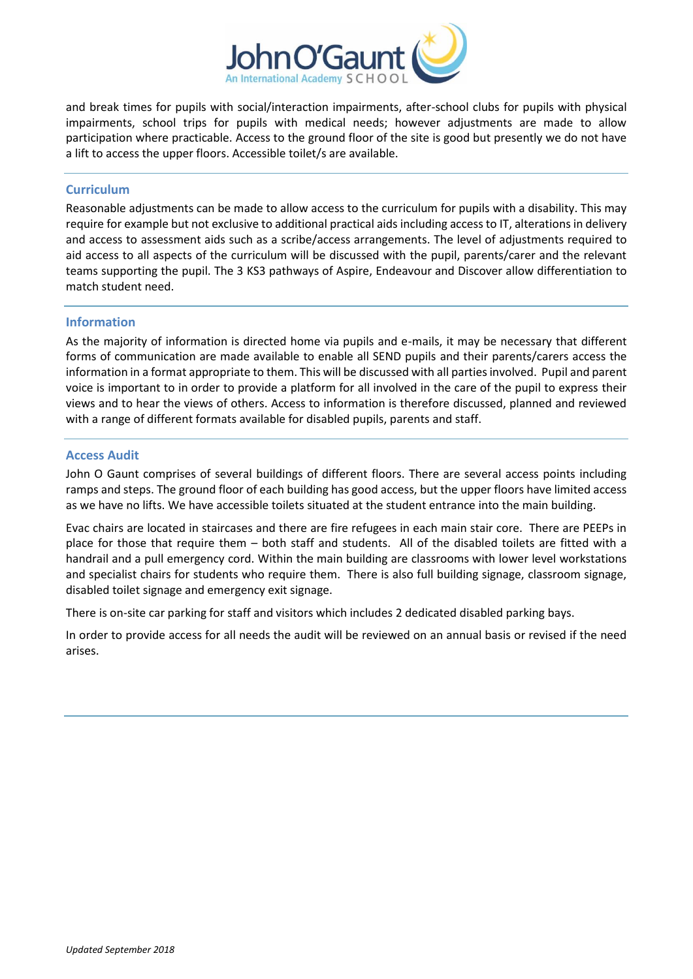

and break times for pupils with social/interaction impairments, after-school clubs for pupils with physical impairments, school trips for pupils with medical needs; however adjustments are made to allow participation where practicable. Access to the ground floor of the site is good but presently we do not have a lift to access the upper floors. Accessible toilet/s are available.

### **Curriculum**

Reasonable adjustments can be made to allow access to the curriculum for pupils with a disability. This may require for example but not exclusive to additional practical aids including access to IT, alterations in delivery and access to assessment aids such as a scribe/access arrangements. The level of adjustments required to aid access to all aspects of the curriculum will be discussed with the pupil, parents/carer and the relevant teams supporting the pupil. The 3 KS3 pathways of Aspire, Endeavour and Discover allow differentiation to match student need.

#### **Information**

As the majority of information is directed home via pupils and e-mails, it may be necessary that different forms of communication are made available to enable all SEND pupils and their parents/carers access the information in a format appropriate to them. This will be discussed with all parties involved. Pupil and parent voice is important to in order to provide a platform for all involved in the care of the pupil to express their views and to hear the views of others. Access to information is therefore discussed, planned and reviewed with a range of different formats available for disabled pupils, parents and staff.

#### **Access Audit**

John O Gaunt comprises of several buildings of different floors. There are several access points including ramps and steps. The ground floor of each building has good access, but the upper floors have limited access as we have no lifts. We have accessible toilets situated at the student entrance into the main building.

Evac chairs are located in staircases and there are fire refugees in each main stair core. There are PEEPs in place for those that require them – both staff and students. All of the disabled toilets are fitted with a handrail and a pull emergency cord. Within the main building are classrooms with lower level workstations and specialist chairs for students who require them. There is also full building signage, classroom signage, disabled toilet signage and emergency exit signage.

There is on-site car parking for staff and visitors which includes 2 dedicated disabled parking bays.

In order to provide access for all needs the audit will be reviewed on an annual basis or revised if the need arises.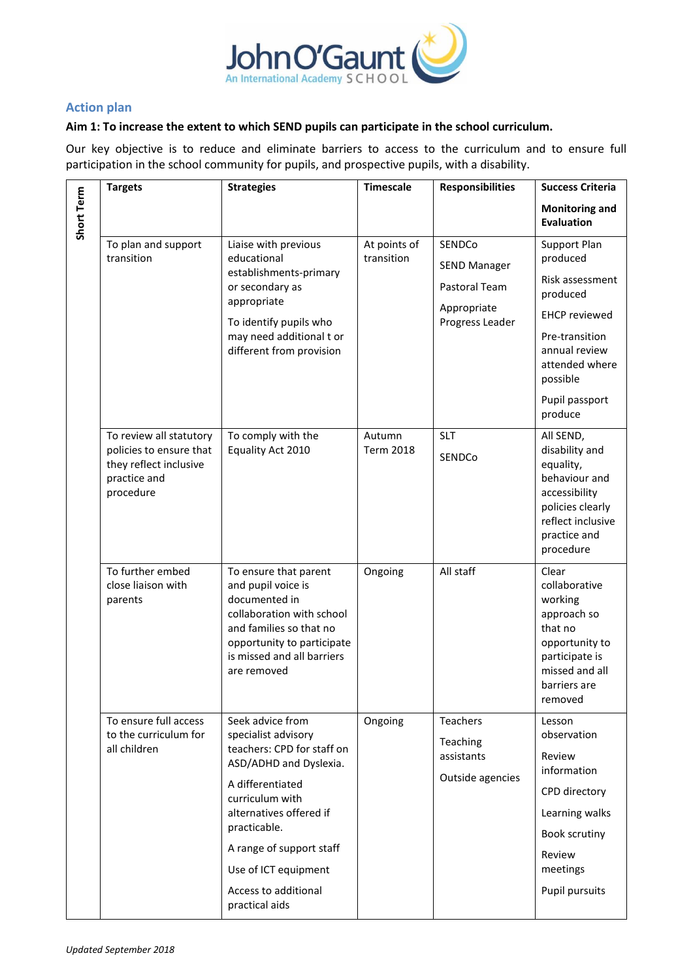

## **Action plan**

### **Aim 1: To increase the extent to which SEND pupils can participate in the school curriculum.**

Our key objective is to reduce and eliminate barriers to access to the curriculum and to ensure full participation in the school community for pupils, and prospective pupils, with a disability.

|            | <b>Targets</b>                                                                                            | <b>Strategies</b>                                                                                                                                                                                                                                                               | <b>Timescale</b>           | <b>Responsibilities</b>                                                          | <b>Success Criteria</b>                                                                                                                          |
|------------|-----------------------------------------------------------------------------------------------------------|---------------------------------------------------------------------------------------------------------------------------------------------------------------------------------------------------------------------------------------------------------------------------------|----------------------------|----------------------------------------------------------------------------------|--------------------------------------------------------------------------------------------------------------------------------------------------|
| Short Term |                                                                                                           |                                                                                                                                                                                                                                                                                 |                            |                                                                                  | <b>Monitoring and</b><br><b>Evaluation</b>                                                                                                       |
|            | To plan and support<br>transition                                                                         | Liaise with previous<br>educational<br>establishments-primary<br>or secondary as<br>appropriate<br>To identify pupils who<br>may need additional t or<br>different from provision                                                                                               | At points of<br>transition | SENDCo<br><b>SEND Manager</b><br>Pastoral Team<br>Appropriate<br>Progress Leader | Support Plan<br>produced<br>Risk assessment<br>produced<br><b>EHCP</b> reviewed<br>Pre-transition<br>annual review                               |
|            |                                                                                                           |                                                                                                                                                                                                                                                                                 |                            |                                                                                  | attended where<br>possible<br>Pupil passport<br>produce                                                                                          |
|            | To review all statutory<br>policies to ensure that<br>they reflect inclusive<br>practice and<br>procedure | To comply with the<br>Equality Act 2010                                                                                                                                                                                                                                         | Autumn<br><b>Term 2018</b> | SLT<br>SENDCo                                                                    | All SEND,<br>disability and<br>equality,<br>behaviour and<br>accessibility<br>policies clearly<br>reflect inclusive<br>practice and<br>procedure |
|            | To further embed<br>close liaison with<br>parents                                                         | To ensure that parent<br>and pupil voice is<br>documented in<br>collaboration with school<br>and families so that no<br>opportunity to participate<br>is missed and all barriers<br>are removed                                                                                 | Ongoing                    | All staff                                                                        | Clear<br>collaborative<br>working<br>approach so<br>that no<br>opportunity to<br>participate is<br>missed and all<br>barriers are<br>removed     |
|            | To ensure full access<br>to the curriculum for<br>all children                                            | Seek advice from<br>specialist advisory<br>teachers: CPD for staff on<br>ASD/ADHD and Dyslexia.<br>A differentiated<br>curriculum with<br>alternatives offered if<br>practicable.<br>A range of support staff<br>Use of ICT equipment<br>Access to additional<br>practical aids | Ongoing                    | <b>Teachers</b><br>Teaching<br>assistants<br>Outside agencies                    | Lesson<br>observation<br>Review<br>information<br>CPD directory<br>Learning walks<br>Book scrutiny<br>Review<br>meetings<br>Pupil pursuits       |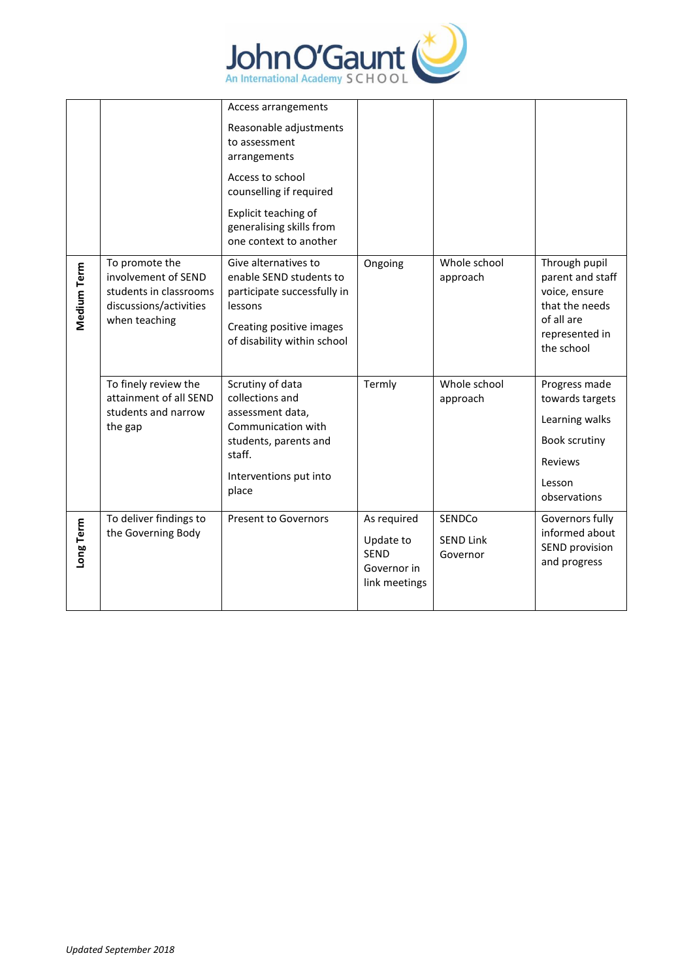

|             |                                                                                                            | Access arrangements                                                                                                                                  |                                                                         |                                        |                                                                                                                    |
|-------------|------------------------------------------------------------------------------------------------------------|------------------------------------------------------------------------------------------------------------------------------------------------------|-------------------------------------------------------------------------|----------------------------------------|--------------------------------------------------------------------------------------------------------------------|
|             |                                                                                                            | Reasonable adjustments<br>to assessment<br>arrangements                                                                                              |                                                                         |                                        |                                                                                                                    |
|             |                                                                                                            | Access to school<br>counselling if required                                                                                                          |                                                                         |                                        |                                                                                                                    |
|             |                                                                                                            | Explicit teaching of<br>generalising skills from<br>one context to another                                                                           |                                                                         |                                        |                                                                                                                    |
| Medium Term | To promote the<br>involvement of SEND<br>students in classrooms<br>discussions/activities<br>when teaching | Give alternatives to<br>enable SEND students to<br>participate successfully in<br>lessons<br>Creating positive images<br>of disability within school | Ongoing                                                                 | Whole school<br>approach               | Through pupil<br>parent and staff<br>voice, ensure<br>that the needs<br>of all are<br>represented in<br>the school |
|             | To finely review the<br>attainment of all SEND<br>students and narrow<br>the gap                           | Scrutiny of data<br>collections and<br>assessment data,<br>Communication with<br>students, parents and<br>staff.<br>Interventions put into<br>place  | Termly                                                                  | Whole school<br>approach               | Progress made<br>towards targets<br>Learning walks<br>Book scrutiny<br>Reviews<br>Lesson<br>observations           |
| Long Term   | To deliver findings to<br>the Governing Body                                                               | <b>Present to Governors</b>                                                                                                                          | As required<br>Update to<br><b>SFND</b><br>Governor in<br>link meetings | SENDCo<br><b>SEND Link</b><br>Governor | Governors fully<br>informed about<br>SEND provision<br>and progress                                                |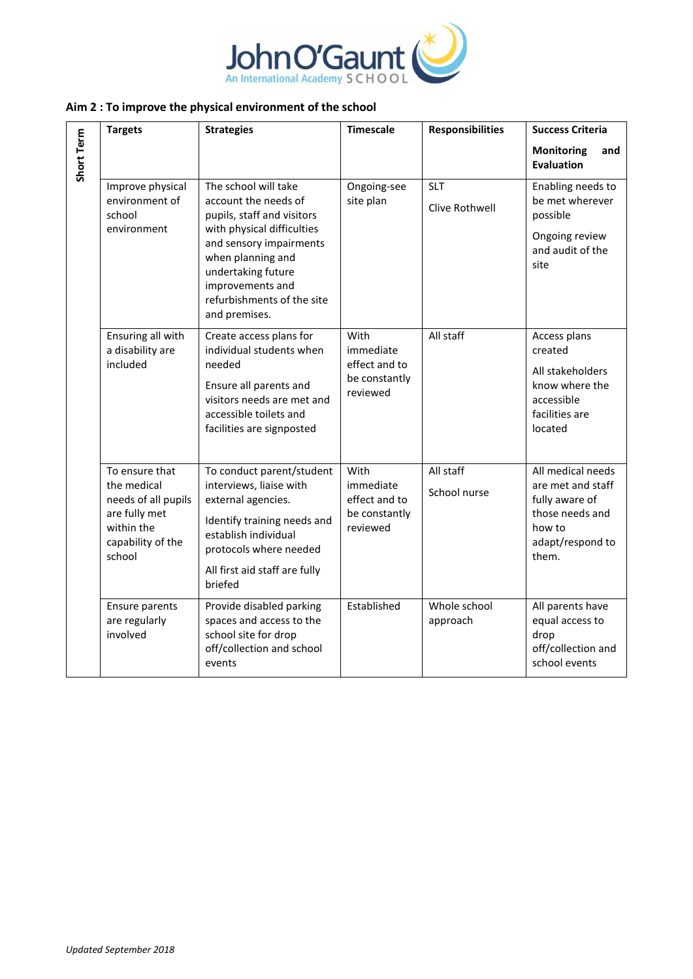

## **Aim 2 : To improve the physical environment of the school**

|            | <b>Targets</b>                                                                                                     | <b>Strategies</b>                                                                                                                                                                                                                                 | <b>Timescale</b>                                                | <b>Responsibilities</b>      | <b>Success Criteria</b>                                                                                            |
|------------|--------------------------------------------------------------------------------------------------------------------|---------------------------------------------------------------------------------------------------------------------------------------------------------------------------------------------------------------------------------------------------|-----------------------------------------------------------------|------------------------------|--------------------------------------------------------------------------------------------------------------------|
| Short Term |                                                                                                                    |                                                                                                                                                                                                                                                   |                                                                 |                              | <b>Monitoring</b><br>and<br><b>Evaluation</b>                                                                      |
|            | Improve physical<br>environment of<br>school<br>environment                                                        | The school will take<br>account the needs of<br>pupils, staff and visitors<br>with physical difficulties<br>and sensory impairments<br>when planning and<br>undertaking future<br>improvements and<br>refurbishments of the site<br>and premises. | Ongoing-see<br>site plan                                        | <b>SLT</b><br>Clive Rothwell | Enabling needs to<br>be met wherever<br>possible<br>Ongoing review<br>and audit of the<br>site                     |
|            | Ensuring all with<br>a disability are<br>included                                                                  | Create access plans for<br>individual students when<br>needed<br>Ensure all parents and<br>visitors needs are met and<br>accessible toilets and<br>facilities are signposted                                                                      | With<br>immediate<br>effect and to<br>be constantly<br>reviewed | All staff                    | Access plans<br>created<br>All stakeholders<br>know where the<br>accessible<br>facilities are<br>located           |
|            | To ensure that<br>the medical<br>needs of all pupils<br>are fully met<br>within the<br>capability of the<br>school | To conduct parent/student<br>interviews, liaise with<br>external agencies.<br>Identify training needs and<br>establish individual<br>protocols where needed<br>All first aid staff are fully<br>briefed                                           | With<br>immediate<br>effect and to<br>be constantly<br>reviewed | All staff<br>School nurse    | All medical needs<br>are met and staff<br>fully aware of<br>those needs and<br>how to<br>adapt/respond to<br>them. |
|            | <b>Ensure parents</b><br>are regularly<br>involved                                                                 | Provide disabled parking<br>spaces and access to the<br>school site for drop<br>off/collection and school<br>events                                                                                                                               | Established                                                     | Whole school<br>approach     | All parents have<br>equal access to<br>drop<br>off/collection and<br>school events                                 |